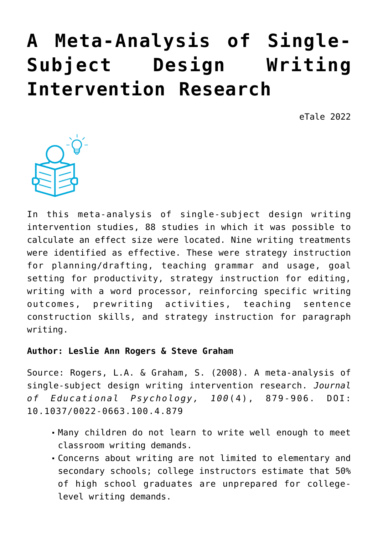# **[A Meta-Analysis of Single-](https://dev.taleafrica.com/2021/12/28/task-focused-behaviour-and-literacy-development-a-reciprocal-relationship-2/)[Subject Design Writing](https://dev.taleafrica.com/2021/12/28/task-focused-behaviour-and-literacy-development-a-reciprocal-relationship-2/) [Intervention Research](https://dev.taleafrica.com/2021/12/28/task-focused-behaviour-and-literacy-development-a-reciprocal-relationship-2/)**

eTale 2022



In this meta-analysis of single-subject design writing intervention studies, 88 studies in which it was possible to calculate an effect size were located. Nine writing treatments were identified as effective. These were strategy instruction for planning/drafting, teaching grammar and usage, goal setting for productivity, strategy instruction for editing, writing with a word processor, reinforcing specific writing outcomes, prewriting activities, teaching sentence construction skills, and strategy instruction for paragraph writing.

#### **Author: Leslie Ann Rogers & Steve Graham**

Source: Rogers, L.A. & Graham, S. (2008). A meta-analysis of single-subject design writing intervention research. *Journal of Educational Psychology, 100*(4), 879-906. DOI: 10.1037/0022-0663.100.4.879

- Many children do not learn to write well enough to meet classroom writing demands.
- Concerns about writing are not limited to elementary and secondary schools; college instructors estimate that 50% of high school graduates are unprepared for collegelevel writing demands.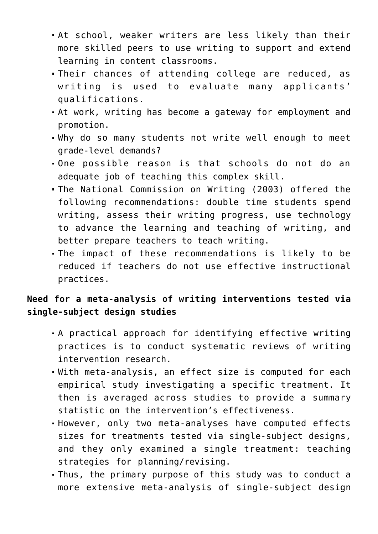- At school, weaker writers are less likely than their more skilled peers to use writing to support and extend learning in content classrooms.
- Their chances of attending college are reduced, as writing is used to evaluate many applicants' qualifications.
- At work, writing has become a gateway for employment and promotion.
- Why do so many students not write well enough to meet grade-level demands?
- One possible reason is that schools do not do an adequate job of teaching this complex skill.
- The National Commission on Writing (2003) offered the following recommendations: double time students spend writing, assess their writing progress, use technology to advance the learning and teaching of writing, and better prepare teachers to teach writing.
- The impact of these recommendations is likely to be reduced if teachers do not use effective instructional practices.

# **Need for a meta-analysis of writing interventions tested via single-subject design studies**

- A practical approach for identifying effective writing practices is to conduct systematic reviews of writing intervention research.
- With meta-analysis, an effect size is computed for each empirical study investigating a specific treatment. It then is averaged across studies to provide a summary statistic on the intervention's effectiveness.
- However, only two meta-analyses have computed effects sizes for treatments tested via single-subject designs, and they only examined a single treatment: teaching strategies for planning/revising.
- Thus, the primary purpose of this study was to conduct a more extensive meta-analysis of single-subject design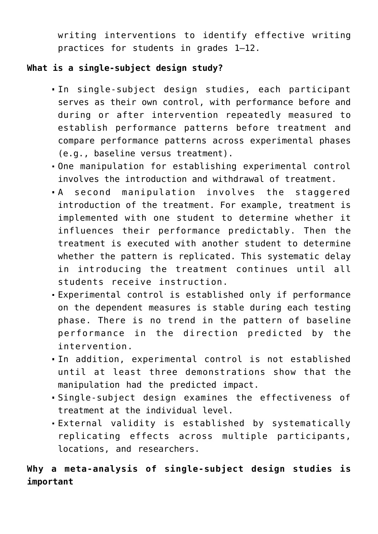writing interventions to identify effective writing practices for students in grades 1–12.

# **What is a single-subject design study?**

- In single-subject design studies, each participant serves as their own control, with performance before and during or after intervention repeatedly measured to establish performance patterns before treatment and compare performance patterns across experimental phases (e.g., baseline versus treatment).
- One manipulation for establishing experimental control involves the introduction and withdrawal of treatment.
- A second manipulation involves the staggered introduction of the treatment. For example, treatment is implemented with one student to determine whether it influences their performance predictably. Then the treatment is executed with another student to determine whether the pattern is replicated. This systematic delay in introducing the treatment continues until all students receive instruction.
- Experimental control is established only if performance on the dependent measures is stable during each testing phase. There is no trend in the pattern of baseline performance in the direction predicted by the intervention.
- In addition, experimental control is not established until at least three demonstrations show that the manipulation had the predicted impact.
- Single-subject design examines the effectiveness of treatment at the individual level.
- External validity is established by systematically replicating effects across multiple participants, locations, and researchers.

# **Why a meta-analysis of single-subject design studies is important**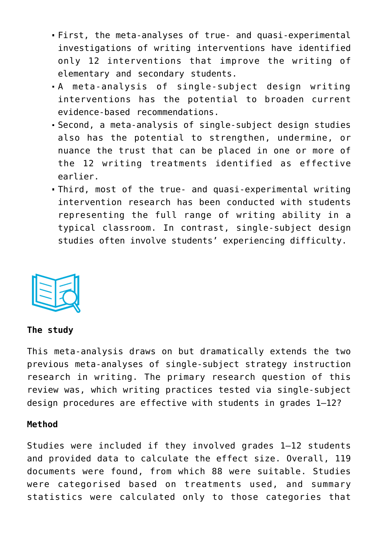- First, the meta-analyses of true- and quasi-experimental investigations of writing interventions have identified only 12 interventions that improve the writing of elementary and secondary students.
- A meta-analysis of single-subject design writing interventions has the potential to broaden current evidence-based recommendations.
- Second, a meta-analysis of single-subject design studies also has the potential to strengthen, undermine, or nuance the trust that can be placed in one or more of the 12 writing treatments identified as effective earlier.
- Third, most of the true- and quasi-experimental writing intervention research has been conducted with students representing the full range of writing ability in a typical classroom. In contrast, single-subject design studies often involve students' experiencing difficulty.



#### **The study**

This meta-analysis draws on but dramatically extends the two previous meta-analyses of single-subject strategy instruction research in writing. The primary research question of this review was, which writing practices tested via single-subject design procedures are effective with students in grades 1–12?

#### **Method**

Studies were included if they involved grades 1–12 students and provided data to calculate the effect size. Overall, 119 documents were found, from which 88 were suitable. Studies were categorised based on treatments used, and summary statistics were calculated only to those categories that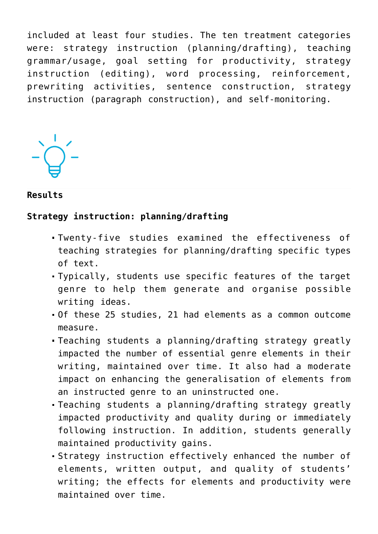included at least four studies. The ten treatment categories were: strategy instruction (planning/drafting), teaching grammar/usage, goal setting for productivity, strategy instruction (editing), word processing, reinforcement, prewriting activities, sentence construction, strategy instruction (paragraph construction), and self-monitoring.

**Results**

### **Strategy instruction: planning/drafting**

- Twenty-five studies examined the effectiveness of teaching strategies for planning/drafting specific types of text.
- Typically, students use specific features of the target genre to help them generate and organise possible writing ideas.
- Of these 25 studies, 21 had elements as a common outcome measure.
- Teaching students a planning/drafting strategy greatly impacted the number of essential genre elements in their writing, maintained over time. It also had a moderate impact on enhancing the generalisation of elements from an instructed genre to an uninstructed one.
- Teaching students a planning/drafting strategy greatly impacted productivity and quality during or immediately following instruction. In addition, students generally maintained productivity gains.
- Strategy instruction effectively enhanced the number of elements, written output, and quality of students' writing; the effects for elements and productivity were maintained over time.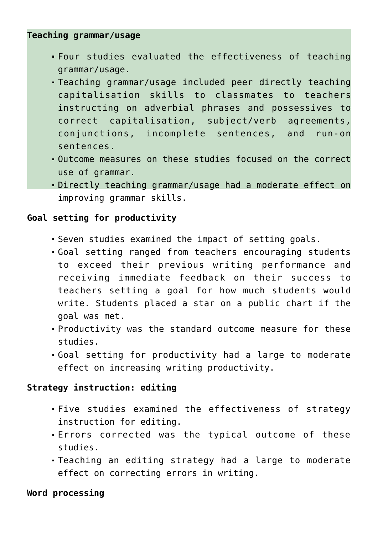### **Teaching grammar/usage**

- Four studies evaluated the effectiveness of teaching grammar/usage.
- Teaching grammar/usage included peer directly teaching capitalisation skills to classmates to teachers instructing on adverbial phrases and possessives to correct capitalisation, subject/verb agreements, conjunctions, incomplete sentences, and run-on sentences.
- Outcome measures on these studies focused on the correct use of grammar.
- Directly teaching grammar/usage had a moderate effect on improving grammar skills.

## **Goal setting for productivity**

- Seven studies examined the impact of setting goals.
- Goal setting ranged from teachers encouraging students to exceed their previous writing performance and receiving immediate feedback on their success to teachers setting a goal for how much students would write. Students placed a star on a public chart if the goal was met.
- Productivity was the standard outcome measure for these studies.
- Goal setting for productivity had a large to moderate effect on increasing writing productivity.

### **Strategy instruction: editing**

- Five studies examined the effectiveness of strategy instruction for editing.
- Errors corrected was the typical outcome of these studies.
- Teaching an editing strategy had a large to moderate effect on correcting errors in writing.

### **Word processing**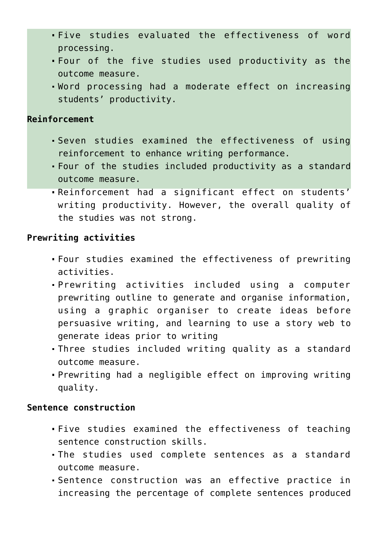- Five studies evaluated the effectiveness of word processing.
- Four of the five studies used productivity as the outcome measure.
- Word processing had a moderate effect on increasing students' productivity.

#### **Reinforcement**

- Seven studies examined the effectiveness of using reinforcement to enhance writing performance.
- Four of the studies included productivity as a standard outcome measure.
- Reinforcement had a significant effect on students' writing productivity. However, the overall quality of the studies was not strong.

# **Prewriting activities**

- Four studies examined the effectiveness of prewriting activities.
- Prewriting activities included using a computer prewriting outline to generate and organise information, using a graphic organiser to create ideas before persuasive writing, and learning to use a story web to generate ideas prior to writing
- Three studies included writing quality as a standard outcome measure.
- Prewriting had a negligible effect on improving writing quality.

### **Sentence construction**

- Five studies examined the effectiveness of teaching sentence construction skills.
- The studies used complete sentences as a standard outcome measure.
- Sentence construction was an effective practice in increasing the percentage of complete sentences produced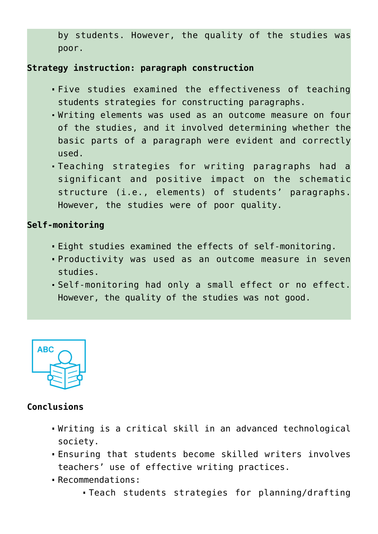by students. However, the quality of the studies was poor.

## **Strategy instruction: paragraph construction**

- Five studies examined the effectiveness of teaching students strategies for constructing paragraphs.
- Writing elements was used as an outcome measure on four of the studies, and it involved determining whether the basic parts of a paragraph were evident and correctly used.
- Teaching strategies for writing paragraphs had a significant and positive impact on the schematic structure (i.e., elements) of students' paragraphs. However, the studies were of poor quality.

#### **Self-monitoring**

- Eight studies examined the effects of self-monitoring.
- Productivity was used as an outcome measure in seven studies.
- Self-monitoring had only a small effect or no effect. However, the quality of the studies was not good.



## **Conclusions**

- Writing is a critical skill in an advanced technological society.
- Ensuring that students become skilled writers involves teachers' use of effective writing practices.
- Recommendations:
	- Teach students strategies for planning/drafting